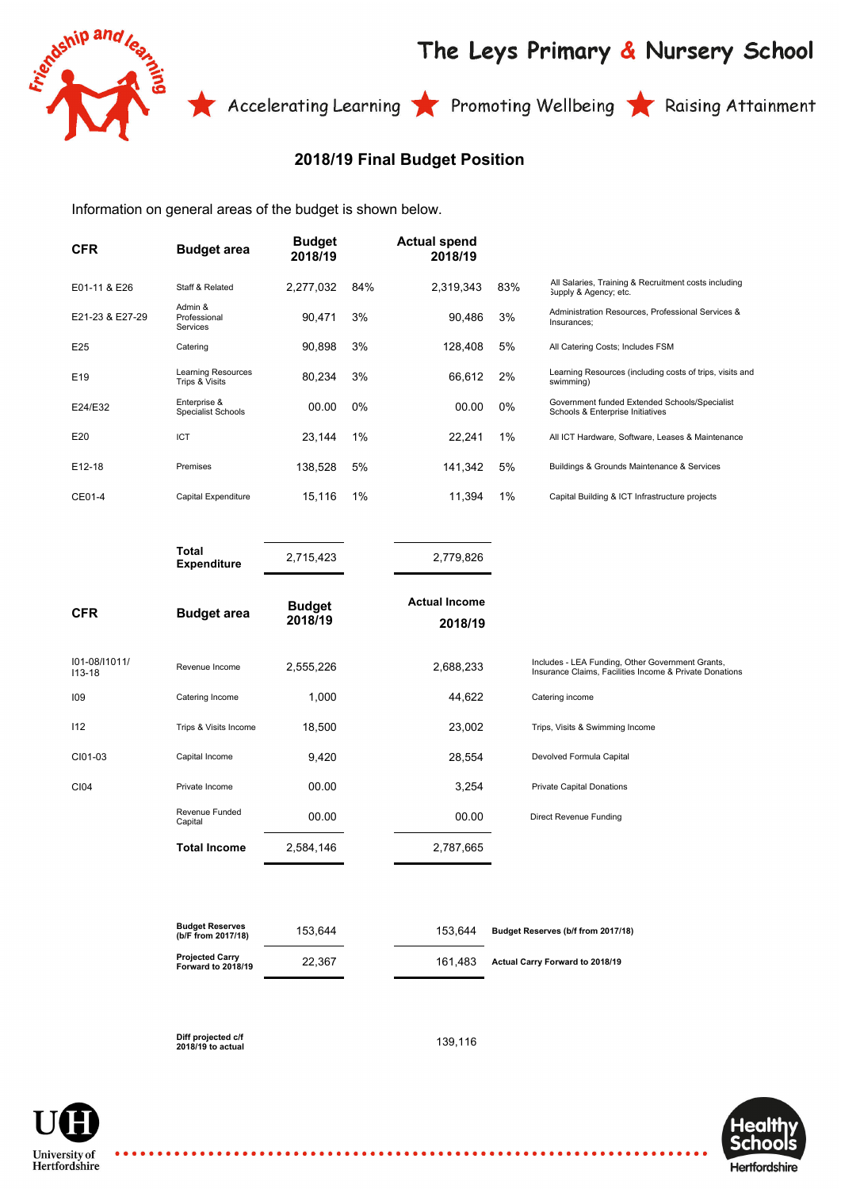

## The Leys Primary & Nursery School

Accelerating Learning **The Promoting Wellbeing The Raising Attainment** 

## **2018/19 Final Budget Position**

Information on general areas of the budget is shown below.

| <b>CFR</b>      | <b>Budget area</b>                        | <b>Budget</b><br>2018/19 |       | <b>Actual spend</b><br>2018/19 |       |                                                                                   |
|-----------------|-------------------------------------------|--------------------------|-------|--------------------------------|-------|-----------------------------------------------------------------------------------|
| E01-11 & E26    | Staff & Related                           | 2,277,032                | 84%   | 2.319.343                      | 83%   | All Salaries, Training & Recruitment costs including<br>Supply & Agency; etc.     |
| E21-23 & E27-29 | Admin &<br>Professional<br>Services       | 90.471                   | 3%    | 90.486                         | 3%    | Administration Resources, Professional Services &<br>Insurances:                  |
| E25             | Catering                                  | 90,898                   | 3%    | 128.408                        | 5%    | All Catering Costs; Includes FSM                                                  |
| E <sub>19</sub> | Learning Resources<br>Trips & Visits      | 80,234                   | 3%    | 66,612                         | 2%    | Learning Resources (including costs of trips, visits and<br>swimming)             |
| E24/E32         | Enterprise &<br><b>Specialist Schools</b> | 00.00                    | $0\%$ | 00.00                          | $0\%$ | Government funded Extended Schools/Specialist<br>Schools & Enterprise Initiatives |
| E20             | <b>ICT</b>                                | 23,144                   | 1%    | 22,241                         | 1%    | All ICT Hardware, Software, Leases & Maintenance                                  |
| E12-18          | Premises                                  | 138,528                  | 5%    | 141,342                        | 5%    | Buildings & Grounds Maintenance & Services                                        |
| CE01-4          | Capital Expenditure                       | 15,116                   | 1%    | 11,394                         | 1%    | Capital Building & ICT Infrastructure projects                                    |
|                 |                                           |                          |       |                                |       |                                                                                   |

|                             | i otal<br><b>Expenditure</b> | 2,715,423                | 2,779,826                       |                                                                                                             |
|-----------------------------|------------------------------|--------------------------|---------------------------------|-------------------------------------------------------------------------------------------------------------|
| <b>CFR</b>                  | <b>Budget area</b>           | <b>Budget</b><br>2018/19 | <b>Actual Income</b><br>2018/19 |                                                                                                             |
| 101-08/11011/<br>$113 - 18$ | Revenue Income               | 2,555,226                | 2,688,233                       | Includes - LEA Funding, Other Government Grants,<br>Insurance Claims, Facilities Income & Private Donations |
| 109                         | Catering Income              | 1,000                    | 44,622                          | Catering income                                                                                             |
| 112                         | Trips & Visits Income        | 18,500                   | 23,002                          | Trips, Visits & Swimming Income                                                                             |
| CI01-03                     | Capital Income               | 9,420                    | 28,554                          | Devolved Formula Capital                                                                                    |
| CI04                        | Private Income               | 00.00                    | 3,254                           | <b>Private Capital Donations</b>                                                                            |
|                             | Revenue Funded<br>Capital    | 00.00                    | 00.00                           | Direct Revenue Funding                                                                                      |
|                             | <b>Total Income</b>          | 2,584,146                | 2,787,665                       |                                                                                                             |

| <b>Budget Reserves</b><br>(b/F from 2017/18) | 153.644 | 153.644 | Budget Reserves (b/f from 2017/18)     |
|----------------------------------------------|---------|---------|----------------------------------------|
| <b>Projected Carry</b><br>Forward to 2018/19 | 22.367  | 161.483 | <b>Actual Carry Forward to 2018/19</b> |

**Diff projected c/f 2018/19 to actual** 139,116

University of Hertfordshire **Total**